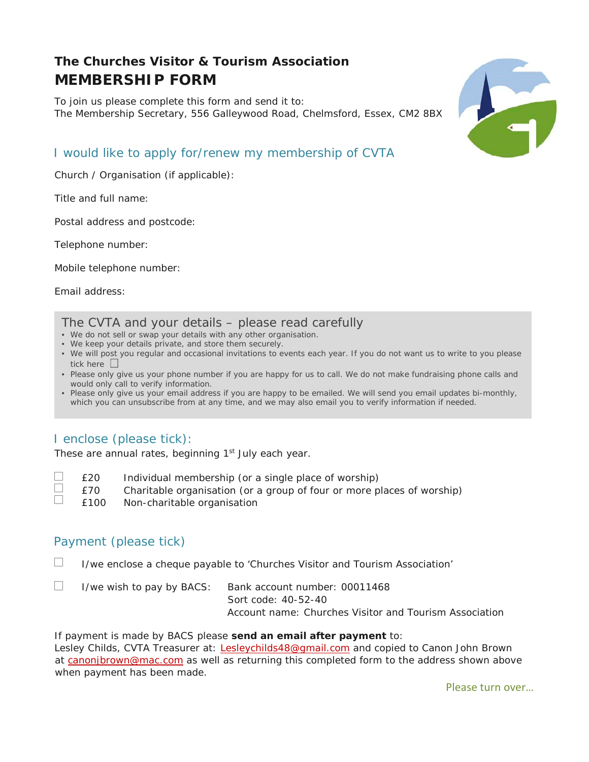# **The Churches Visitor & Tourism Association MEMBERSHIP FORM**

To join us please complete this form and send it to: The Membership Secretary, 556 Galleywood Road, Chelmsford, Essex, CM2 8BX



# I would like to apply for/renew my membership of CVTA

Church / Organisation (if applicable):

Title and full name:

Postal address and postcode:

Telephone number:

Mobile telephone number:

Email address:

#### The CVTA and your details – please read carefully

- We do not sell or swap your details with any other organisation.
- We keep your details private, and store them securely.
- We will post you regular and occasional invitations to events each year. If you do not want us to write to you please tick here  $\square$
- Please only give us your phone number if you are happy for us to call. We do not make fundraising phone calls and would only call to verify information.
- Please only give us your email address if you are happy to be emailed. We will send you email updates bi-monthly, which you can unsubscribe from at any time, and we may also email you to verify information if needed.

# I enclose (please tick):

These are annual rates, beginning 1<sup>st</sup> July each year.

| $\mathcal{L}$ | £20  | Individual membership (or a single place of worship)      |
|---------------|------|-----------------------------------------------------------|
|               | L 70 | Charitable organisation (or a group of four or more place |

- £70 Charitable organisation (or a group of four or more places of worship)  $\mathbb{R}$ 
	- £100 Non-charitable organisation

#### Payment (please tick)

 $\Box$ I/we enclose a cheque payable to 'Churches Visitor and Tourism Association'

 $\Box$ I/we wish to pay by BACS: Bank account number: 00011468 Sort code: 40-52-40 Account name: Churches Visitor and Tourism Association

If payment is made by BACS please **send an email after payment** to: Lesley Childs, CVTA Treasurer at: Lesleychilds48@gmail.com and copied to Canon John Brown at canonibrown@mac.com as well as returning this completed form to the address shown above when payment has been made.